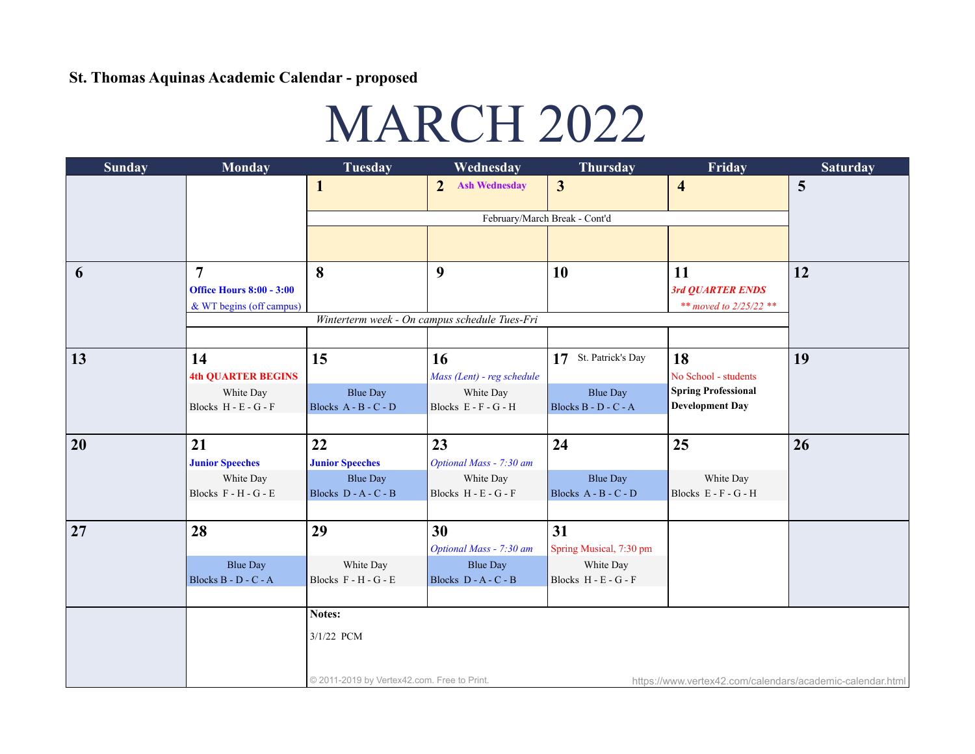## St. Thomas Aquinas Academic Calendar - proposed

## MARCH 2022

| <b>Sunday</b> | <b>Monday</b>                   | <b>Tuesday</b>                                                                                           | Wednesday                                     | <b>Thursday</b>         | Friday                     | <b>Saturday</b> |  |  |  |
|---------------|---------------------------------|----------------------------------------------------------------------------------------------------------|-----------------------------------------------|-------------------------|----------------------------|-----------------|--|--|--|
|               |                                 | $\mathbf{1}$                                                                                             | <b>Ash Wednesday</b><br>$\overline{2}$        | $\overline{3}$          | $\overline{\mathbf{4}}$    | 5               |  |  |  |
|               |                                 |                                                                                                          |                                               |                         |                            |                 |  |  |  |
|               |                                 |                                                                                                          | February/March Break - Cont'd                 |                         |                            |                 |  |  |  |
|               |                                 |                                                                                                          |                                               |                         |                            |                 |  |  |  |
|               |                                 |                                                                                                          |                                               |                         |                            |                 |  |  |  |
| 6             | $\overline{7}$                  | 8                                                                                                        | 9                                             | 10                      | 11                         | 12              |  |  |  |
|               | <b>Office Hours 8:00 - 3:00</b> |                                                                                                          |                                               |                         | 3rd QUARTER ENDS           |                 |  |  |  |
|               | & WT begins (off campus)        |                                                                                                          | Winterterm week - On campus schedule Tues-Fri |                         | ** moved to $2/25/22$ **   |                 |  |  |  |
|               |                                 |                                                                                                          |                                               |                         |                            |                 |  |  |  |
|               |                                 |                                                                                                          |                                               |                         |                            |                 |  |  |  |
| 13            | 14                              | 15                                                                                                       | 16                                            | 17 St. Patrick's Day    | 18                         | 19              |  |  |  |
|               | <b>4th QUARTER BEGINS</b>       |                                                                                                          | Mass (Lent) - reg schedule                    |                         | No School - students       |                 |  |  |  |
|               | White Day                       | <b>Blue Day</b>                                                                                          | White Day                                     | <b>Blue Day</b>         | <b>Spring Professional</b> |                 |  |  |  |
|               | Blocks H - E - G - F            | Blocks A - B - C - D                                                                                     | Blocks E - F - G - H                          | Blocks B - D - C - A    | <b>Development Day</b>     |                 |  |  |  |
|               |                                 |                                                                                                          |                                               |                         |                            |                 |  |  |  |
| 20            | 21                              | 22                                                                                                       | 23                                            | 24                      | 25                         | 26              |  |  |  |
|               | <b>Junior Speeches</b>          | <b>Junior Speeches</b>                                                                                   | Optional Mass - 7:30 am                       |                         |                            |                 |  |  |  |
|               | White Day                       | <b>Blue Day</b>                                                                                          | White Day                                     | <b>Blue Day</b>         | White Day                  |                 |  |  |  |
|               | Blocks F - H - G - E            | Blocks D - A - C - B                                                                                     | Blocks H - E - G - F                          | Blocks A - B - C - D    | Blocks E - F - G - H       |                 |  |  |  |
|               |                                 |                                                                                                          |                                               |                         |                            |                 |  |  |  |
| 27            | 28                              | 29                                                                                                       | 30                                            | 31                      |                            |                 |  |  |  |
|               |                                 |                                                                                                          | Optional Mass - 7:30 am                       | Spring Musical, 7:30 pm |                            |                 |  |  |  |
|               | <b>Blue Day</b>                 | White Day                                                                                                | <b>Blue Day</b>                               | White Day               |                            |                 |  |  |  |
|               | Blocks B - D - C - A            | Blocks F - H - G - E                                                                                     | Blocks $D - A - C - B$                        | Blocks H - E - G - F    |                            |                 |  |  |  |
|               |                                 |                                                                                                          |                                               |                         |                            |                 |  |  |  |
|               |                                 | Notes:                                                                                                   |                                               |                         |                            |                 |  |  |  |
|               |                                 | 3/1/22 PCM                                                                                               |                                               |                         |                            |                 |  |  |  |
|               |                                 |                                                                                                          |                                               |                         |                            |                 |  |  |  |
|               |                                 |                                                                                                          |                                               |                         |                            |                 |  |  |  |
|               |                                 | © 2011-2019 by Vertex42.com. Free to Print.<br>https://www.vertex42.com/calendars/academic-calendar.html |                                               |                         |                            |                 |  |  |  |